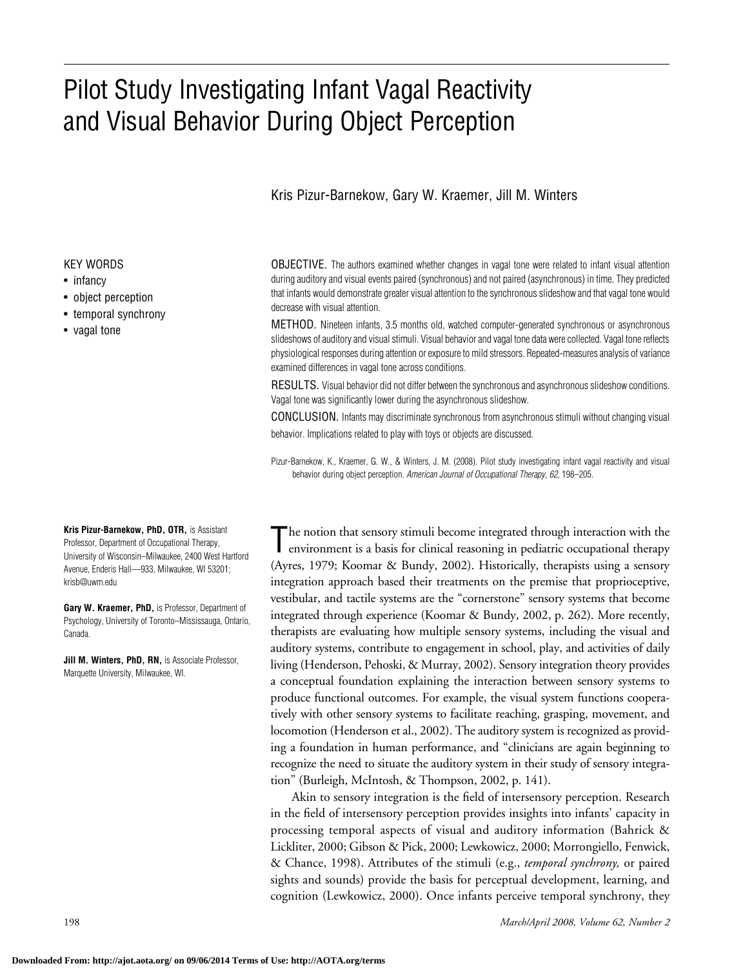# Pilot Study Investigating Infant Vagal Reactivity and Visual Behavior During Object Perception

### Kris Pizur-Barnekow, Gary W. Kraemer, Jill M. Winters

#### KEY WORDS

- infancy
- object perception
- temporal synchrony
- vagal tone

**Kris Pizur-Barnekow, PhD, OTR,** is Assistant Professor, Department of Occupational Therapy, University of Wisconsin–Milwaukee, 2400 West Hartford Avenue, Enderis Hall—933, Milwaukee, WI 53201; krisb@uwm.edu

**Gary W. Kraemer, PhD,** is Professor, Department of Psychology, University of Toronto–Mississauga, Ontario, Canada.

**Jill M. Winters, PhD, RN,** is Associate Professor, Marquette University, Milwaukee, WI.

OBJECTIVE. The authors examined whether changes in vagal tone were related to infant visual attention during auditory and visual events paired (synchronous) and not paired (asynchronous) in time. They predicted that infants would demonstrate greater visual attention to the synchronous slideshow and that vagal tone would decrease with visual attention.

METHOD. Nineteen infants, 3.5 months old, watched computer-generated synchronous or asynchronous slideshows of auditory and visual stimuli. Visual behavior and vagal tone data were collected. Vagal tone reflects physiological responses during attention or exposure to mild stressors. Repeated-measures analysis of variance examined differences in vagal tone across conditions.

RESULTS. Visual behavior did not differ between the synchronous and asynchronous slideshow conditions. Vagal tone was significantly lower during the asynchronous slideshow.

CONCLUSION. Infants may discriminate synchronous from asynchronous stimuli without changing visual behavior. Implications related to play with toys or objects are discussed.

Pizur-Barnekow, K., Kraemer, G. W., & Winters, J. M. (2008). Pilot study investigating infant vagal reactivity and visual behavior during object perception. *American Journal of Occupational Therapy, 62,* 198–205.

The notion that sensory stimuli become integrated through interaction with the environment is a basis for clinical reasoning in pediatric occupational therapy (Ayres, 1979; Koomar & Bundy, 2002). Historically, therapists using a sensory integration approach based their treatments on the premise that proprioceptive, vestibular, and tactile systems are the "cornerstone" sensory systems that become integrated through experience (Koomar & Bundy, 2002, p. 262). More recently, therapists are evaluating how multiple sensory systems, including the visual and auditory systems, contribute to engagement in school, play, and activities of daily living (Henderson, Pehoski, & Murray, 2002). Sensory integration theory provides a conceptual foundation explaining the interaction between sensory systems to produce functional outcomes. For example, the visual system functions cooperatively with other sensory systems to facilitate reaching, grasping, movement, and locomotion (Henderson et al., 2002). The auditory system is recognized as providing a foundation in human performance, and "clinicians are again beginning to recognize the need to situate the auditory system in their study of sensory integration" (Burleigh, McIntosh, & Thompson, 2002, p. 141).

Akin to sensory integration is the field of intersensory perception. Research in the field of intersensory perception provides insights into infants' capacity in processing temporal aspects of visual and auditory information (Bahrick & Lickliter, 2000; Gibson & Pick, 2000; Lewkowicz, 2000; Morrongiello, Fenwick, & Chance, 1998). Attributes of the stimuli (e.g., *temporal synchrony,* or paired sights and sounds) provide the basis for perceptual development, learning, and cognition (Lewkowicz, 2000). Once infants perceive temporal synchrony, they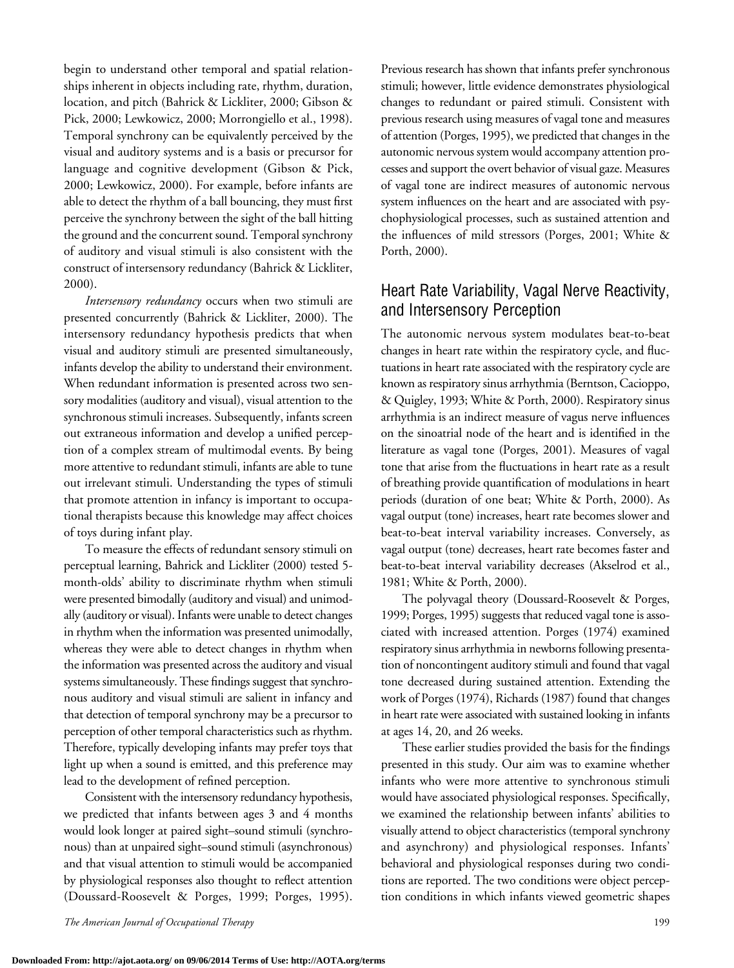begin to understand other temporal and spatial relationships inherent in objects including rate, rhythm, duration, location, and pitch (Bahrick & Lickliter, 2000; Gibson & Pick, 2000; Lewkowicz, 2000; Morrongiello et al., 1998). Temporal synchrony can be equivalently perceived by the visual and auditory systems and is a basis or precursor for language and cognitive development (Gibson & Pick, 2000; Lewkowicz, 2000). For example, before infants are able to detect the rhythm of a ball bouncing, they must first perceive the synchrony between the sight of the ball hitting the ground and the concurrent sound. Temporal synchrony of auditory and visual stimuli is also consistent with the construct of intersensory redundancy (Bahrick & Lickliter, 2000).

*Intersensory redundancy* occurs when two stimuli are presented concurrently (Bahrick & Lickliter, 2000). The intersensory redundancy hypothesis predicts that when visual and auditory stimuli are presented simultaneously, infants develop the ability to understand their environment. When redundant information is presented across two sensory modalities (auditory and visual), visual attention to the synchronous stimuli increases. Subsequently, infants screen out extraneous information and develop a unified perception of a complex stream of multimodal events. By being more attentive to redundant stimuli, infants are able to tune out irrelevant stimuli. Understanding the types of stimuli that promote attention in infancy is important to occupational therapists because this knowledge may affect choices of toys during infant play.

To measure the effects of redundant sensory stimuli on perceptual learning, Bahrick and Lickliter (2000) tested 5 month-olds' ability to discriminate rhythm when stimuli were presented bimodally (auditory and visual) and unimodally (auditory or visual). Infants were unable to detect changes in rhythm when the information was presented unimodally, whereas they were able to detect changes in rhythm when the information was presented across the auditory and visual systems simultaneously. These findings suggest that synchronous auditory and visual stimuli are salient in infancy and that detection of temporal synchrony may be a precursor to perception of other temporal characteristics such as rhythm. Therefore, typically developing infants may prefer toys that light up when a sound is emitted, and this preference may lead to the development of refined perception.

Consistent with the intersensory redundancy hypothesis, we predicted that infants between ages 3 and 4 months would look longer at paired sight–sound stimuli (synchronous) than at unpaired sight–sound stimuli (asynchronous) and that visual attention to stimuli would be accompanied by physiological responses also thought to reflect attention (Doussard-Roosevelt & Porges, 1999; Porges, 1995).

Previous research has shown that infants prefer synchronous stimuli; however, little evidence demonstrates physiological changes to redundant or paired stimuli. Consistent with previous research using measures of vagal tone and measures of attention (Porges, 1995), we predicted that changes in the autonomic nervous system would accompany attention processes and support the overt behavior of visual gaze. Measures of vagal tone are indirect measures of autonomic nervous system influences on the heart and are associated with psychophysiological processes, such as sustained attention and the influences of mild stressors (Porges, 2001; White & Porth, 2000).

# Heart Rate Variability, Vagal Nerve Reactivity, and Intersensory Perception

The autonomic nervous system modulates beat-to-beat changes in heart rate within the respiratory cycle, and fluctuations in heart rate associated with the respiratory cycle are known as respiratory sinus arrhythmia (Berntson, Cacioppo, & Quigley, 1993; White & Porth, 2000). Respiratory sinus arrhythmia is an indirect measure of vagus nerve influences on the sinoatrial node of the heart and is identified in the literature as vagal tone (Porges, 2001). Measures of vagal tone that arise from the fluctuations in heart rate as a result of breathing provide quantification of modulations in heart periods (duration of one beat; White & Porth, 2000). As vagal output (tone) increases, heart rate becomes slower and beat-to-beat interval variability increases. Conversely, as vagal output (tone) decreases, heart rate becomes faster and beat-to-beat interval variability decreases (Akselrod et al., 1981; White & Porth, 2000).

The polyvagal theory (Doussard-Roosevelt & Porges, 1999; Porges, 1995) suggests that reduced vagal tone is associated with increased attention. Porges (1974) examined respiratory sinus arrhythmia in newborns following presentation of noncontingent auditory stimuli and found that vagal tone decreased during sustained attention. Extending the work of Porges (1974), Richards (1987) found that changes in heart rate were associated with sustained looking in infants at ages 14, 20, and 26 weeks.

These earlier studies provided the basis for the findings presented in this study. Our aim was to examine whether infants who were more attentive to synchronous stimuli would have associated physiological responses. Specifically, we examined the relationship between infants' abilities to visually attend to object characteristics (temporal synchrony and asynchrony) and physiological responses. Infants' behavioral and physiological responses during two conditions are reported. The two conditions were object perception conditions in which infants viewed geometric shapes

*The American Journal of Occupational Therapy* 199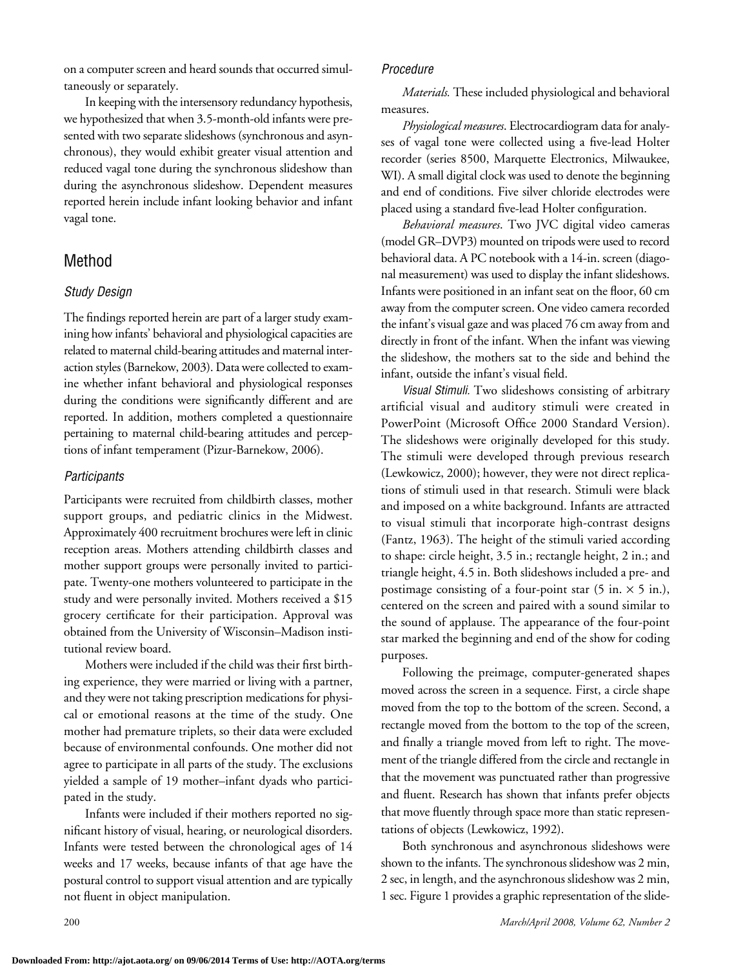on a computer screen and heard sounds that occurred simultaneously or separately.

In keeping with the intersensory redundancy hypothesis, we hypothesized that when 3.5-month-old infants were presented with two separate slideshows (synchronous and asynchronous), they would exhibit greater visual attention and reduced vagal tone during the synchronous slideshow than during the asynchronous slideshow. Dependent measures reported herein include infant looking behavior and infant vagal tone.

## Method

#### *Study Design*

The findings reported herein are part of a larger study examining how infants' behavioral and physiological capacities are related to maternal child-bearing attitudes and maternal interaction styles (Barnekow, 2003). Data were collected to examine whether infant behavioral and physiological responses during the conditions were significantly different and are reported. In addition, mothers completed a questionnaire pertaining to maternal child-bearing attitudes and perceptions of infant temperament (Pizur-Barnekow, 2006).

#### *Participants*

Participants were recruited from childbirth classes, mother support groups, and pediatric clinics in the Midwest. Approximately 400 recruitment brochures wereleft in clinic reception areas. Mothers attending childbirth classes and mother support groups were personally invited to participate. Twenty-one mothers volunteered to participate in the study and were personally invited. Mothers received a \$15 grocery certificate for their participation. Approval was obtained from the University of Wisconsin–Madison institutional review board.

Mothers were included if the child was their first birthing experience, they were married or living with a partner, and they were not taking prescription medications for physical or emotional reasons at the time of the study. One mother had premature triplets, so their data were excluded because of environmental confounds. One mother did not agree to participate in all parts of the study. The exclusions yielded a sample of 19 mother–infant dyads who participated in the study.

Infants were included if their mothers reported no significant history of visual, hearing, or neurological disorders. Infants were tested between the chronological ages of 14 weeks and 17 weeks, because infants of that age have the postural control to support visual attention and are typically not fluent in object manipulation.

#### *Procedure*

*Materials.* These included physiological and behavioral measures.

*Physiological measures*. Electrocardiogram data for analyses of vagal tone were collected using a five-lead Holter recorder (series 8500, Marquette Electronics, Milwaukee, WI). A small digital clock was used to denote the beginning and end of conditions. Five silver chloride electrodes were placed using a standard five-lead Holter configuration.

*Behavioral measures*. Two JVC digital video cameras (model GR–DVP3) mounted on tripods were used to record behavioral data. A PC notebook with a 14-in. screen (diagonal measurement) was used to display the infant slideshows. Infants were positioned in an infant seat on the floor, 60 cm away from the computer screen. One video camera recorded the infant's visual gaze and was placed 76 cm away from and directly in front of the infant. When the infant was viewing the slideshow, the mothers sat to the side and behind the infant, outside the infant's visual field.

*Visual Stimuli.* Two slideshows consisting of arbitrary artificial visual and auditory stimuli were created in PowerPoint (Microsoft Office 2000 Standard Version). The slideshows were originally developed for this study. The stimuli were developed through previous research (Lewkowicz, 2000); however, they were not direct replications of stimuli used in that research. Stimuli were black and imposed on a white background. Infants are attracted to visual stimuli that incorporate high-contrast designs (Fantz, 1963). The height of the stimuli varied according to shape: circle height, 3.5 in.; rectangle height, 2 in.; and triangle height, 4.5 in. Both slideshows included a pre- and postimage consisting of a four-point star  $(5 \text{ in.} \times 5 \text{ in.}),$ centered on the screen and paired with a sound similar to the sound of applause. The appearance of the four-point star marked the beginning and end of the show for coding purposes.

Following the preimage, computer-generated shapes moved across the screen in a sequence. First, a circle shape moved from the top to the bottom of the screen. Second, a rectangle moved from the bottom to the top of the screen, and finally a triangle moved from left to right. The movement of the triangle differed from the circle and rectangle in that the movement was punctuated rather than progressive and fluent. Research has shown that infants prefer objects that move fluently through space more than static representations of objects (Lewkowicz, 1992).

Both synchronous and asynchronous slideshows were shown to the infants. The synchronous slideshow was 2 min, 2 sec, in length, and the asynchronous slideshow was 2 min, 1 sec. Figure 1 provides a graphic representation of the slide-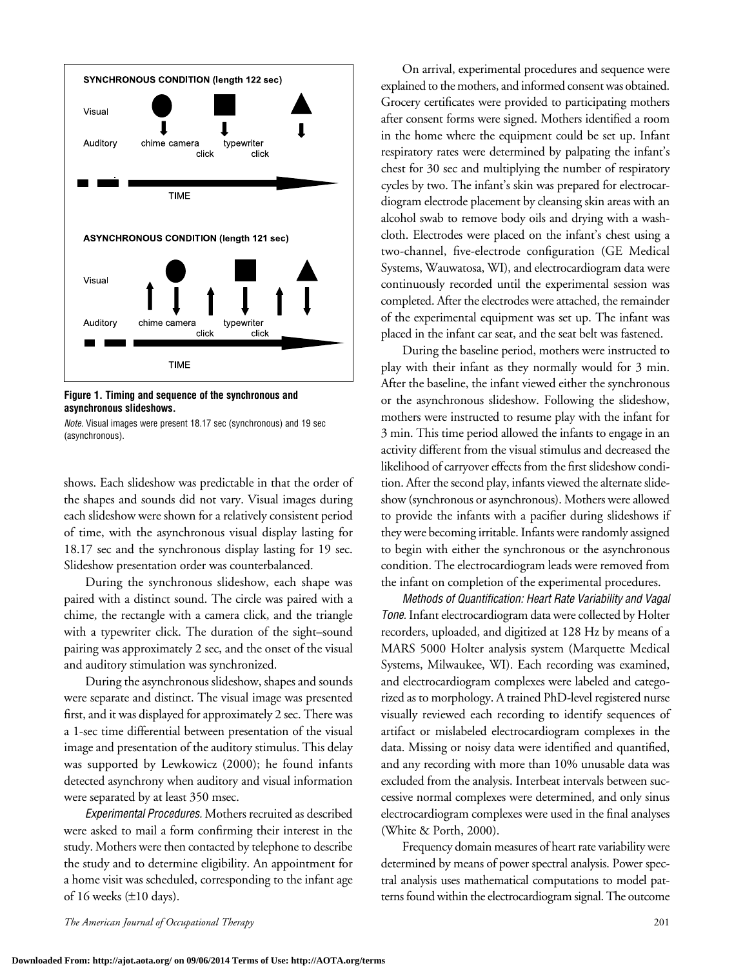

**Figure 1. Timing and sequence of the synchronous and asynchronous slideshows.**



shows. Each slideshow was predictable in that the order of the shapes and sounds did not vary. Visual images during each slideshow were shown for a relatively consistent period of time, with the asynchronous visual display lasting for 18.17 sec and the synchronous display lasting for 19 sec. Slideshow presentation order was counterbalanced.

During the synchronous slideshow, each shape was paired with a distinct sound. The circle was paired with a chime, the rectangle with a camera click, and the triangle with a typewriter click. The duration of the sight–sound pairing was approximately 2 sec, and the onset of the visual and auditory stimulation was synchronized.

During the asynchronous slideshow, shapes and sounds were separate and distinct. The visual image was presented first, and it was displayed for approximately 2 sec. There was a 1-sec time differential between presentation of the visual image and presentation of the auditory stimulus. This delay was supported by Lewkowicz (2000); he found infants detected asynchrony when auditory and visual information were separated by at least 350 msec.

*Experimental Procedures.* Mothers recruited as described were asked to mail a form confirming their interest in the study. Mothers were then contacted by telephone to describe the study and to determine eligibility. An appointment for a home visit was scheduled, corresponding to the infant age of 16 weeks  $(\pm 10 \text{ days})$ .

On arrival, experimental procedures and sequence were explained to the mothers, and informed consent was obtained. Grocery certificates were provided to participating mothers after consent forms were signed. Mothers identified a room in the home where the equipment could be set up. Infant respiratory rates were determined by palpating the infant's chest for 30 sec and multiplying the number of respiratory cycles by two. The infant's skin was prepared for electrocardiogram electrode placement by cleansing skin areas with an alcohol swab to remove body oils and drying with a washcloth. Electrodes were placed on the infant's chest using a two-channel, five-electrode configuration (GE Medical Systems, Wauwatosa, WI), and electrocardiogram data were continuously recorded until the experimental session was completed. After the electrodes were attached, the remainder of the experimental equipment was set up. The infant was placed in the infant car seat, and the seat belt was fastened.

During the baseline period, mothers were instructed to play with their infant as they normally would for 3 min. After the baseline, the infant viewed either the synchronous or the asynchronous slideshow. Following the slideshow, mothers were instructed to resume play with the infant for 3 min. This time period allowed the infants to engage in an activity different from the visual stimulus and decreased the likelihood of carryover effects from the first slideshow condition. After the second play, infants viewed the alternate slideshow (synchronous or asynchronous). Mothers were allowed to provide the infants with a pacifier during slideshows if they were becoming irritable. Infants were randomly assigned to begin with either the synchronous or the asynchronous condition. The electrocardiogram leads were removed from the infant on completion of the experimental procedures.

*Methods of Quantification: Heart Rate Variability and Vagal*  Tone. Infant electrocardiogram data were collected by Holter recorders, uploaded, and digitized at 128 Hz by means of a MARS 5000 Holter analysis system (Marquette Medical Systems, Milwaukee, WI). Each recording was examined, and electrocardiogram complexes were labeled and categorized as to morphology. A trained PhD-level registered nurse visually reviewed each recording to identify sequences of artifact or mislabeled electrocardiogram complexes in the data. Missing or noisy data were identified and quantified, and any recording with more than 10% unusable data was excluded from the analysis. Interbeat intervals between successive normal complexes were determined, and only sinus electrocardiogram complexes were used in the final analyses (White & Porth, 2000).

Frequency domain measures of heart rate variability were determined by means of power spectral analysis. Power spectral analysis uses mathematical computations to model patterns found within the electrocardiogram signal. The outcome

*The American Journal of Occupational Therapy* 201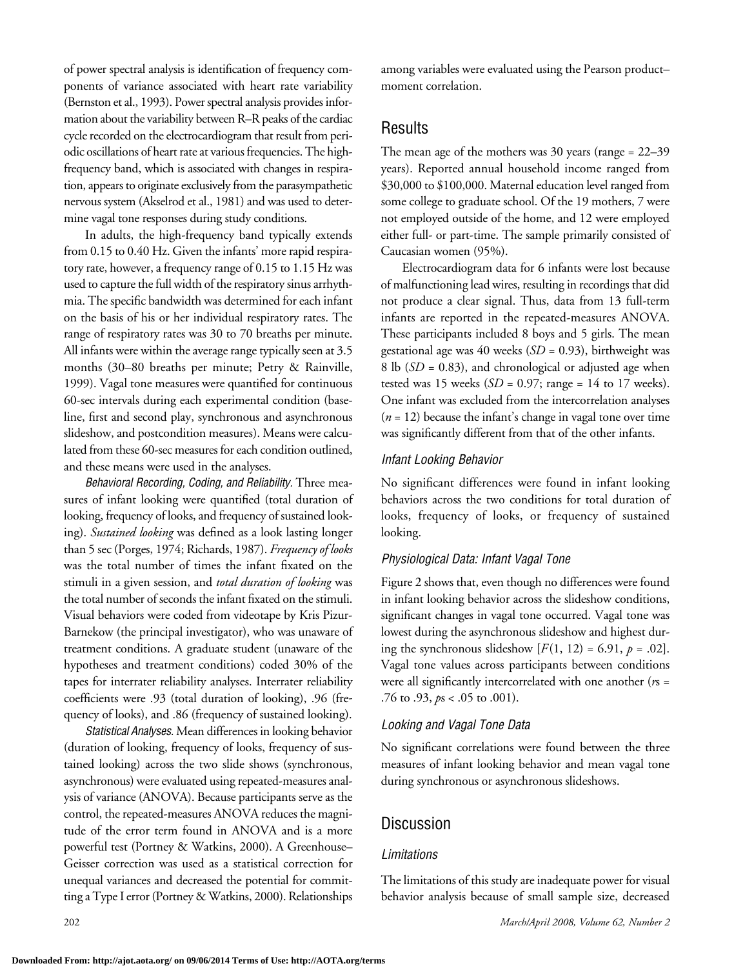of power spectral analysis is identification of frequency components of variance associated with heart rate variability (Bernston et al., 1993). Power spectral analysis provides information about the variability between R–R peaks of the cardiac cycle recorded on the electrocardiogram that result from periodic oscillations of heart rate at various frequencies.The highfrequency band, which is associated with changes in respiration, appears to originate exclusively from the parasympathetic nervous system (Akselrod et al., 1981) and was used to determine vagal tone responses during study conditions.

In adults, the high-frequency band typically extends from 0.15 to 0.40 Hz. Given the infants' more rapid respiratory rate, however, a frequency range of 0.15 to 1.15 Hz was used to capture the full width of the respiratory sinus arrhythmia. The specific bandwidth was determined for each infant on the basis of his or her individual respiratory rates. The range of respiratory rates was 30 to 70 breaths per minute. All infants were within the average range typically seen at  $3.5$ months (30–80 breaths per minute; Petry & Rainville, 1999). Vagal tone measures were quantified for continuous 60-sec intervals during each experimental condition (baseline, first and second play, synchronous and asynchronous slideshow, and postcondition measures). Means were calculated from these 60-sec measures for each condition outlined, and these means were used in the analyses.

*Behavioral Recording, Coding, and Reliability.* Three measures of infant looking were quantified (total duration of looking, frequency of looks, and frequency of sustained looking). *Sustained looking* was defined as a look lasting longer than 5 sec (Porges, 1974; Richards, 1987). *Frequency of looks*  was the total number of times the infant fixated on the stimuli in a given session, and *total duration of looking* was the total number of seconds the infant fixated on the stimuli. Visual behaviors were coded from videotape by Kris Pizur-Barnekow (the principal investigator), who was unaware of treatment conditions. A graduate student (unaware of the hypotheses and treatment conditions) coded 30% of the tapes for interrater reliability analyses. Interrater reliability coefficients were .93 (total duration of looking), .96 (frequency of looks), and .86 (frequency of sustained looking).

*Statistical Analyses.* Mean differences in looking behavior (duration of looking, frequency of looks, frequency of sustained looking) across the two slide shows (synchronous, asynchronous) were evaluated using repeated-measures analysis of variance (ANOVA). Because participants serve as the control, the repeated-measures ANOVA reduces the magnitude of the error term found in ANOVA and is a more powerful test (Portney & Watkins, 2000). A Greenhouse– Geisser correction was used as a statistical correction for unequal variances and decreased the potential for committing a Type I error (Portney & Watkins, 2000). Relationships among variables were evaluated using the Pearson product– moment correlation.

## Results

The mean age of the mothers was 30 years (range = 22–39 years). Reported annual household income ranged from \$30,000 to \$100,000. Maternal education level ranged from some college to graduate school. Of the 19 mothers, 7 were not employed outside of the home, and 12 were employed either full- or part-time. The sample primarily consisted of Caucasian women (95%).

Electrocardiogram data for 6 infants were lost because of malfunctioning lead wires, resulting in recordings that did not produce a clear signal. Thus, data from 13 full-term infants are reported in the repeated-measures ANOVA. These participants included 8 boys and 5 girls. The mean gestational age was 40 weeks (*SD* = 0.93), birthweight was 8 lb (*SD* = 0.83), and chronological or adjusted age when tested was 15 weeks  $(SD = 0.97; \text{ range} = 14 \text{ to } 17 \text{ weeks}).$ One infant was excluded from the intercorrelation analyses (*n* = 12) because the infant's change in vagal tone over time was significantly different from that of the other infants.

### *Infant Looking Behavior*

No significant differences were found in infant looking behaviors across the two conditions for total duration of looks, frequency of looks, or frequency of sustained looking.

### *Physiological Data: Infant Vagal Tone*

Figure 2 shows that, even though no differences were found in infant looking behavior across the slideshow conditions, significant changes in vagal tone occurred. Vagal tone was lowest during the asynchronous slideshow and highest during the synchronous slideshow  $[F(1, 12) = 6.91, p = .02]$ . Vagal tone values across participants between conditions were all significantly intercorrelated with one another (*r*s = .76 to .93, *p*s < .05 to .001).

### *Looking and Vagal Tone Data*

No significant correlations were found between the three measures of infant looking behavior and mean vagal tone during synchronous or asynchronous slideshows.

# **Discussion**

### *Limitations*

The limitations of this study are inadequate power for visual behavior analysis because of small sample size, decreased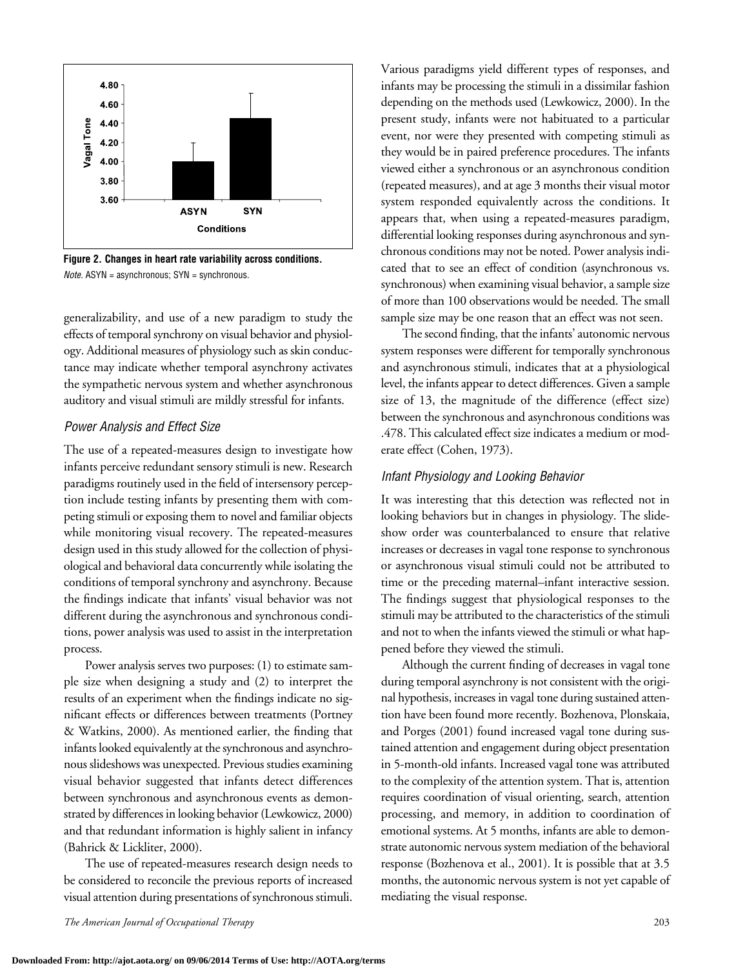

**Figure 2. Changes in heart rate variability across conditions.** *Note.* ASYN = asynchronous; SYN = synchronous.

generalizability, and use of a new paradigm to study the effects of temporal synchrony on visual behavior and physiology. Additional measures of physiology such as skin conductance may indicate whether temporal asynchrony activates the sympathetic nervous system and whether asynchronous auditory and visual stimuli are mildly stressful for infants.

#### *Power Analysis and Effect Size*

The use of a repeated-measures design to investigate how infants perceive redundant sensory stimuli is new. Research paradigms routinely used in the field of intersensory perception include testing infants by presenting them with competing stimuli or exposing them to novel and familiar objects while monitoring visual recovery. The repeated-measures design used in this study allowed for the collection of physiological and behavioral data concurrently while isolating the conditions of temporal synchrony and asynchrony. Because the findings indicate that infants' visual behavior was not different during the asynchronous and synchronous conditions, power analysis was used to assist in the interpretation process.

Power analysis serves two purposes: (1) to estimate sample size when designing a study and (2) to interpret the results of an experiment when the findings indicate no significant effects or differences between treatments (Portney & Watkins, 2000). As mentioned earlier, the finding that infants looked equivalently at the synchronous and asynchronous slideshows was unexpected. Previous studies examining visual behavior suggested that infants detect differences between synchronous and asynchronous events as demonstrated by differences in looking behavior (Lewkowicz, 2000) and that redundant information is highly salient in infancy (Bahrick & Lickliter, 2000).

The use of repeated-measures research design needs to be considered to reconcile the previous reports of increased visual attention during presentations of synchronous stimuli.

Various paradigms yield different types of responses, and infants may be processing the stimuli in a dissimilar fashion depending on the methods used (Lewkowicz, 2000). In the present study, infants were not habituated to a particular event, nor were they presented with competing stimuli as they would be in paired preference procedures. The infants viewed either a synchronous or an asynchronous condition (repeated measures), and at age 3 months their visual motor system responded equivalently across the conditions. It appears that, when using a repeated-measures paradigm, differential looking responses during asynchronous and synchronous conditions may not be noted. Power analysis indicated that to see an effect of condition (asynchronous vs. synchronous) when examining visual behavior, a sample size of more than 100 observations would be needed. The small sample size may be one reason that an effect was not seen.

The second finding, that the infants' autonomic nervous system responses were different for temporally synchronous and asynchronous stimuli, indicates that at a physiological level, the infants appear to detect differences. Given a sample size of 13, the magnitude of the difference (effect size) between the synchronous and asynchronous conditions was .478. This calculated effect size indicates a medium or moderate effect (Cohen, 1973).

### *Infant Physiology and Looking Behavior*

It was interesting that this detection was reflected not in looking behaviors but in changes in physiology. The slideshow order was counterbalanced to ensure that relative increases or decreases in vagal tone response to synchronous or asynchronous visual stimuli could not be attributed to time or the preceding maternal–infant interactive session. The findings suggest that physiological responses to the stimuli may be attributed to the characteristics of the stimuli and not to when the infants viewed the stimuli or what happened before they viewed the stimuli.

Although the current finding of decreases in vagal tone during temporal asynchrony is not consistent with the original hypothesis, increases in vagal tone during sustained attention have been found more recently. Bozhenova, Plonskaia, and Porges (2001) found increased vagal tone during sustained attention and engagement during object presentation in 5-month-old infants. Increased vagal tone was attributed to the complexity of the attention system. That is, attention requires coordination of visual orienting, search, attention processing, and memory, in addition to coordination of emotional systems. At 5 months, infants are able to demonstrate autonomic nervous system mediation of the behavioral response (Bozhenova et al., 2001). It is possible that at 3.5 months, the autonomic nervous system is not yet capable of mediating the visual response.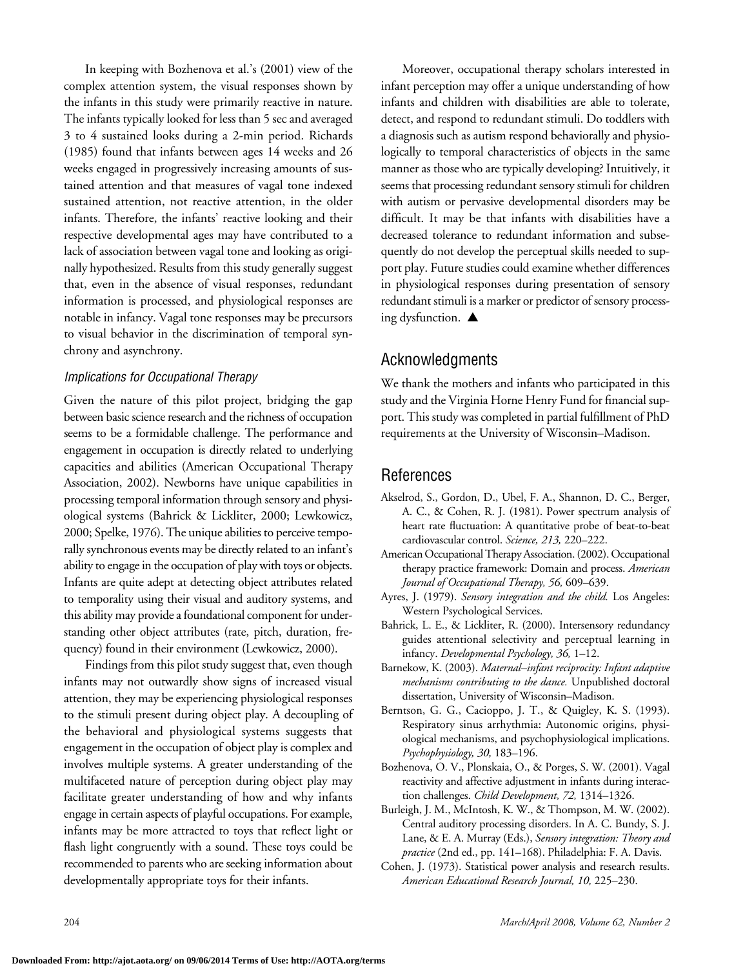In keeping with Bozhenova et al.'s (2001) view of the complex attention system, the visual responses shown by the infants in this study were primarily reactive in nature. The infants typically looked for less than 5 sec and averaged 3 to 4 sustained looks during a 2-min period. Richards (1985) found that infants between ages 14 weeks and 26 weeks engaged in progressively increasing amounts of sustained attention and that measures of vagal tone indexed sustained attention, not reactive attention, in the older infants. Therefore, the infants' reactive looking and their respective developmental ages may have contributed to a lack of association between vagal tone and looking as originally hypothesized. Results from this study generally suggest that, even in the absence of visual responses, redundant information is processed, and physiological responses are notable in infancy. Vagal tone responses may be precursors to visual behavior in the discrimination of temporal synchrony and asynchrony.

### *Implications for Occupational Therapy*

Given the nature of this pilot project, bridging the gap between basic science research and the richness of occupation seems to be a formidable challenge. The performance and engagement in occupation is directly related to underlying capacities and abilities (American Occupational Therapy Association, 2002). Newborns have unique capabilities in processing temporal information through sensory and physiological systems (Bahrick & Lickliter, 2000; Lewkowicz, 2000; Spelke, 1976). The unique abilities to perceive temporally synchronous events may be directly related to an infant's ability to engage in the occupation of play with toys or objects. Infants are quite adept at detecting object attributes related to temporality using their visual and auditory systems, and this ability may provide a foundational component for understanding other object attributes (rate, pitch, duration, frequency) found in their environment (Lewkowicz, 2000).

Findings from this pilot study suggest that, even though infants may not outwardly show signs of increased visual attention, they may be experiencing physiological responses to the stimuli present during object play. A decoupling of the behavioral and physiological systems suggests that engagement in the occupation of object play is complex and involves multiple systems. A greater understanding of the multifaceted nature of perception during object play may facilitate greater understanding of how and why infants engage in certain aspects of playful occupations. For example, infants may be more attracted to toys that reflect light or flash light congruently with a sound. These toys could be recommended to parents who areseeking information about developmentally appropriate toys for their infants.

Moreover, occupational therapy scholars interested in infant perception may offer a unique understanding of how infants and children with disabilities are able to tolerate, detect, and respond to redundant stimuli. Do toddlers with a diagnosis such as autism respond behaviorally and physiologically to temporal characteristics of objects in the same manner as those who are typically developing? Intuitively, it seems that processing redundant sensory stimuli for children with autism or pervasive developmental disorders may be difficult. It may be that infants with disabilities have a decreased tolerance to redundant information and subsequently do not develop the perceptual skills needed to support play. Future studies could examine whether differences in physiological responses during presentation of sensory redundant stimuli is a marker or predictor of sensory processing dysfunction.  $\triangle$ 

## Acknowledgments

We thank the mothers and infants who participated in this study and the Virginia Horne Henry Fund for financial support. This study was completed in partial fulfillment of PhD requirements at the University of Wisconsin–Madison.

# References

- Akselrod, S., Gordon, D., Ubel, F. A., Shannon, D. C., Berger, A. C., & Cohen, R. J. (1981). Power spectrum analysis of heart rate fluctuation: A quantitative probe of beat-to-beat cardiovascular control. *Science, 213,* 220–222.
- American Occupational Therapy Association. (2002). Occupational therapy practice framework: Domain and process. *American Journal of Occupational Therapy, 56,* 609–639.
- Ayres, J. (1979). *Sensory integration and the child.* Los Angeles: Western Psychological Services.
- Bahrick, L. E., & Lickliter, R. (2000). Intersensory redundancy guides attentional selectivity and perceptual learning in infancy. *Developmental Psychology, 36,* 1–12.
- Barnekow, K. (2003). *Maternal–infant reciprocity: Infant adaptive mechanisms contributing to the dance.* Unpublished doctoral dissertation, University of Wisconsin–Madison.
- Berntson, G. G., Cacioppo, J. T., & Quigley, K. S. (1993). Respiratory sinus arrhythmia: Autonomic origins, physiological mechanisms, and psychophysiological implications. *Psychophysiology, 30,* 183–196.
- Bozhenova, O. V., Plonskaia, O., & Porges, S. W. (2001). Vagal reactivity and affective adjustment in infants during interaction challenges. *Child Development, 72,* 1314–1326.
- Burleigh, J. M., McIntosh, K. W., & Thompson, M. W. (2002). Central auditory processing disorders. In A. C. Bundy, S. J. Lane, & E. A. Murray (Eds.), *Sensory integration: Theory and practice* (2nd ed., pp. 141–168). Philadelphia: F. A. Davis.
- Cohen, J. (1973). Statistical power analysis and research results. *American Educational Research Journal, 10,* 225–230.